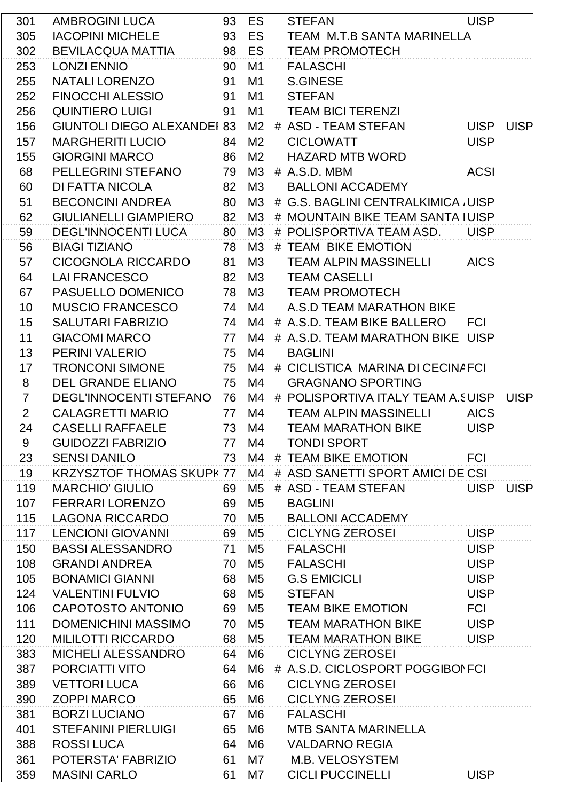| 301             | AMBROGINI LUCA                     |                 | 93 ES                 | <b>STEFAN</b>                          | <b>UISP</b> |             |
|-----------------|------------------------------------|-----------------|-----------------------|----------------------------------------|-------------|-------------|
| 305             | <b>IACOPINI MICHELE</b>            |                 | 93 ES                 | TEAM M.T.B SANTA MARINELLA             |             |             |
| 302             | <b>BEVILACQUA MATTIA</b>           |                 | 98 ES                 | <b>TEAM PROMOTECH</b>                  |             |             |
| 253             | <b>LONZI ENNIO</b>                 | 90 <sup>1</sup> | M1                    | <b>FALASCHI</b>                        |             |             |
| 255             | NATALI LORENZO                     | 91              | M1                    | <b>S.GINESE</b>                        |             |             |
| 252             | <b>FINOCCHI ALESSIO</b>            | 91              | M1                    | <b>STEFAN</b>                          |             |             |
| 256             | <b>QUINTIERO LUIGI</b>             | 91              | M1                    | <b>TEAM BICI TERENZI</b>               |             |             |
| 156             | <b>GIUNTOLI DIEGO ALEXANDEI 83</b> |                 | M2                    | # ASD - TEAM STEFAN                    | UISP UISP   |             |
| 157             | <b>MARGHERITI LUCIO</b>            | 84 <sup>1</sup> | M <sub>2</sub>        | <b>CICLOWATT</b>                       | <b>UISP</b> |             |
| 155             | <b>GIORGINI MARCO</b>              |                 | 86 M2                 | <b>HAZARD MTB WORD</b>                 |             |             |
| 68              | PELLEGRINI STEFANO                 |                 | 79 M3                 | # A.S.D. MBM                           | <b>ACSI</b> |             |
| 60              | DI FATTA NICOLA                    | 82 <sup>1</sup> | МЗ                    | <b>BALLONI ACCADEMY</b>                |             |             |
| 51              | BECONCINI ANDREA                   |                 | 80 M3                 | # G.S. BAGLINI CENTRALKIMICA, UISP     |             |             |
| 62              | <b>GIULIANELLI GIAMPIERO</b>       |                 | 82 M3                 | # MOUNTAIN BIKE TEAM SANTA IUISP       |             |             |
| 59              | <b>DEGL'INNOCENTI LUCA</b>         |                 | $80 \, \mathrm{M}$ M3 | # POLISPORTIVA TEAM ASD.               | <b>UISP</b> |             |
| 56              | <b>BIAGI TIZIANO</b>               | 78              | M3                    | # TEAM BIKE EMOTION                    |             |             |
| 57              | CICOGNOLA RICCARDO                 | 81              | M3                    | <b>TEAM ALPIN MASSINELLI</b>           | <b>AICS</b> |             |
| 64              | <b>LAI FRANCESCO</b>               | 82              | ΜЗ                    | <b>TEAM CASELLI</b>                    |             |             |
| 67              | PASUELLO DOMENICO                  |                 | 78 M3                 | <b>TEAM PROMOTECH</b>                  |             |             |
| 10 <sup>1</sup> | <b>MUSCIO FRANCESCO</b>            | 74              | M4                    | A.S.D TEAM MARATHON BIKE               |             |             |
| 15              | <b>SALUTARI FABRIZIO</b>           |                 | 74 M4                 | # A.S.D. TEAM BIKE BALLERO             | <b>FCI</b>  |             |
| 11              | <b>GIACOMI MARCO</b>               | 77 <sup>1</sup> | M4                    | # A.S.D. TEAM MARATHON BIKE UISP       |             |             |
| 13              | PERINI VALERIO                     | 75              | M4                    | <b>BAGLINI</b>                         |             |             |
| 17              | <b>TRONCONI SIMONE</b>             |                 | 75 M4                 | # CICLISTICA MARINA DI CECINAFCI       |             |             |
| $\bf 8$         | <b>DEL GRANDE ELIANO</b>           |                 | 75 M4                 | <b>GRAGNANO SPORTING</b>               |             |             |
| $\overline{7}$  | <b>DEGL'INNOCENTI STEFANO</b>      |                 | 76 M4                 | # POLISPORTIVA ITALY TEAM A.SUISP UISP |             |             |
| $2^{\circ}$     | <b>CALAGRETTI MARIO</b>            | 77 <sup>1</sup> | M4                    | <b>TEAM ALPIN MASSINELLI</b>           | <b>AICS</b> |             |
| 24              | <b>CASELLI RAFFAELE</b>            |                 | 73 M4                 | TEAM MARATHON BIKE                     | <b>UISP</b> |             |
| 9               | <b>GUIDOZZI FABRIZIO</b>           | 77 <sup>1</sup> | M4                    | TONDI SPORT                            |             |             |
| 23              | <b>SENSI DANILO</b>                |                 | 73 M4                 | # TEAM BIKE EMOTION                    | <b>FCI</b>  |             |
| 19              | <b>KRZYSZTOF THOMAS SKUPK 77</b>   |                 | M4                    | # ASD SANETTI SPORT AMICI DE CSI       |             |             |
| 119             | <b>MARCHIO' GIULIO</b>             | 69              | M <sub>5</sub>        | # ASD - TEAM STEFAN                    | <b>UISP</b> | <b>UISP</b> |
| 107             | <b>FERRARI LORENZO</b>             | 69              | M <sub>5</sub>        | <b>BAGLINI</b>                         |             |             |
| 115             | <b>LAGONA RICCARDO</b>             |                 | 70 M5                 | <b>BALLONI ACCADEMY</b>                |             |             |
| 117             | <b>LENCIONI GIOVANNI</b>           | 69              | M <sub>5</sub>        | <b>CICLYNG ZEROSEI</b>                 | <b>UISP</b> |             |
| 150             | <b>BASSI ALESSANDRO</b>            | 71 <sup>1</sup> | M5                    | <b>FALASCHI</b>                        | <b>UISP</b> |             |
| 108             | <b>GRANDI ANDREA</b>               | 70              | $\parallel$ M5        | <b>FALASCHI</b>                        | <b>UISP</b> |             |
| 105             | <b>BONAMICI GIANNI</b>             | 68              | M <sub>5</sub>        | <b>G.S EMICICLI</b>                    | <b>UISP</b> |             |
| 124             | <b>VALENTINI FULVIO</b>            | 68              | M5                    | <b>STEFAN</b>                          | <b>UISP</b> |             |
| 106             | CAPOTOSTO ANTONIO                  | 69              | M5                    | <b>TEAM BIKE EMOTION</b>               | <b>FCI</b>  |             |
| 111             | <b>DOMENICHINI MASSIMO</b>         | 70              | M <sub>5</sub>        | <b>TEAM MARATHON BIKE</b>              | <b>UISP</b> |             |
| 120             | <b>MILILOTTI RICCARDO</b>          | 68              | M5                    | <b>TEAM MARATHON BIKE</b>              | <b>UISP</b> |             |
| 383             | <b>MICHELI ALESSANDRO</b>          | 64              | M6                    | <b>CICLYNG ZEROSEI</b>                 |             |             |
| 387             | <b>PORCIATTI VITO</b>              | 64              | M6                    | # A.S.D. CICLOSPORT POGGIBON FCI       |             |             |
| 389             | <b>VETTORI LUCA</b>                | 66              | M <sub>6</sub>        | <b>CICLYNG ZEROSEI</b>                 |             |             |
| 390             | <b>ZOPPI MARCO</b>                 | 65              | M <sub>6</sub>        | <b>CICLYNG ZEROSEI</b>                 |             |             |
| 381             | <b>BORZI LUCIANO</b>               | 67              | M <sub>6</sub>        | <b>FALASCHI</b>                        |             |             |
| 401             | <b>STEFANINI PIERLUIGI</b>         | 65              | M6                    | <b>MTB SANTA MARINELLA</b>             |             |             |
| 388             | <b>ROSSILUCA</b>                   | 64              | M <sub>6</sub>        | <b>VALDARNO REGIA</b>                  |             |             |
| 361             | POTERSTA' FABRIZIO                 | 61              | M7                    | M.B. VELOSYSTEM                        |             |             |
| 359             | <b>MASINI CARLO</b>                | 61              | M7                    | <b>CICLI PUCCINELLI</b>                | <b>UISP</b> |             |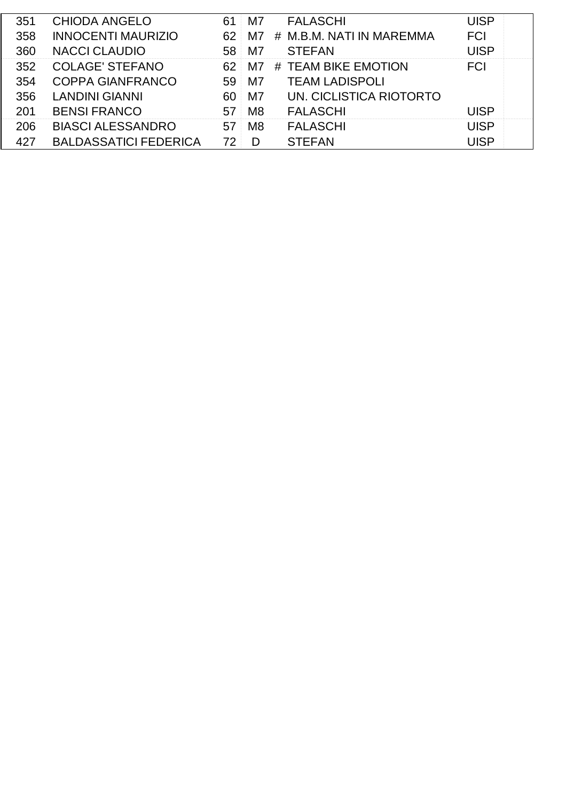| 351 | <b>CHIODA ANGELO</b>         |    | M7             | FALASCHI                       | <b>JISP</b> |  |
|-----|------------------------------|----|----------------|--------------------------------|-------------|--|
| 358 | <b>INNOCENTI MAURIZIO</b>    |    |                | 62 M7 # M.B.M. NATI IN MAREMMA | <b>FCI</b>  |  |
| 360 | <b>NACCI CLAUDIO</b>         | 58 | M7             | <b>STEFAN</b>                  | JISP        |  |
| 352 | <b>COLAGE' STEFANO</b>       |    |                | 62 M7 # TEAM BIKE EMOTION      |             |  |
| 354 | <b>COPPA GIANFRANCO</b>      | 59 | M7             | <b>TEAM LADISPOLI</b>          |             |  |
| 356 | <b>LANDINI GIANNI</b>        | 60 | M7             | <b>UN. CICLISTICA RIOTORTO</b> |             |  |
|     | <b>BENSI FRANCO</b>          | 57 | M <sub>8</sub> | FALASCHI                       | ISP         |  |
| 206 | <b>BIASCI ALESSANDRO</b>     |    | M8             | FALASCHI                       |             |  |
|     | <b>BALDASSATICI FEDERICA</b> |    |                | STEFAN                         |             |  |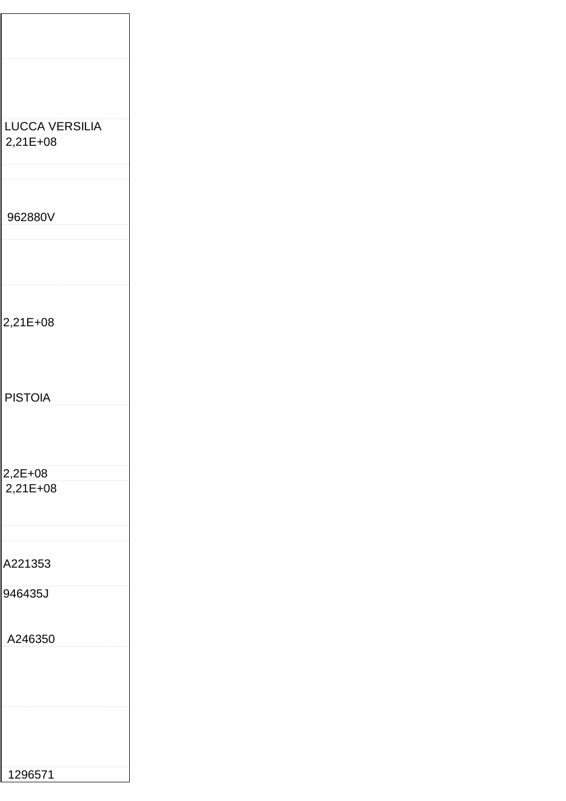| LUCCA VERSILIA<br>2,21E+08 |  |
|----------------------------|--|
|                            |  |
| 962880V                    |  |
|                            |  |
| 2,21E+08                   |  |
|                            |  |
| <b>PISTOIA</b>             |  |
|                            |  |
| 2,2E+08<br>2,21E+08        |  |
|                            |  |
| A221353                    |  |
| 946435J                    |  |
| A246350                    |  |
|                            |  |
|                            |  |
|                            |  |
| 1296571                    |  |